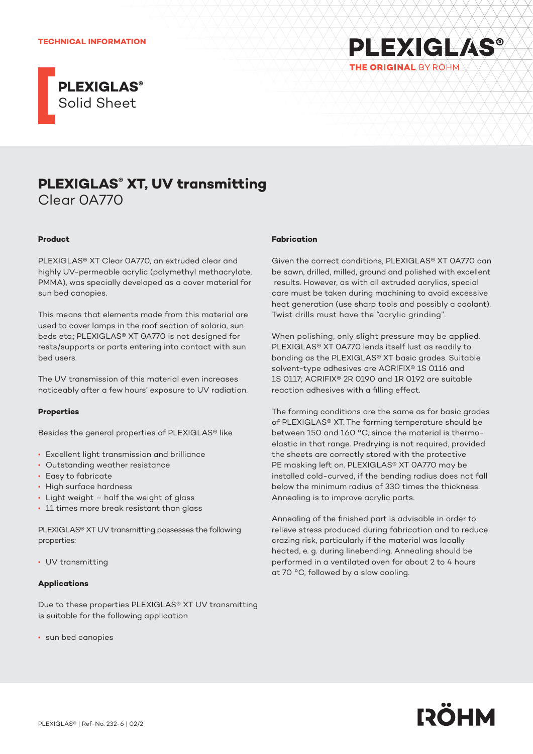#### **TECHNICAL INFORMATION**





# **Product**

PLEXIGLAS® XT Clear 0A770, an extruded clear and highly UV-permeable acrylic (polymethyl methacrylate, PMMA), was specially developed as a cover material for sun bed canopies.

This means that elements made from this material are used to cover lamps in the roof section of solaria, sun beds etc.; PLEXIGLAS® XT 0A770 is not designed for rests/supports or parts entering into contact with sun bed users.

The UV transmission of this material even increases noticeably after a few hours' exposure to UV radiation.

## **Properties**

Besides the general properties of PLEXIGLAS® like

- Excellent light transmission and brilliance
- Outstanding weather resistance
- Easy to fabricate
- High surface hardness
- Light weight half the weight of glass
- 11 times more break resistant than glass

PLEXIGLAS® XT UV transmitting possesses the following properties:

• UV transmitting

## **Applications**

Due to these properties PLEXIGLAS® XT UV transmitting is suitable for the following application

• sun bed canopies

## **Fabrication**

Given the correct conditions, PLEXIGLAS® XT 0A770 can be sawn, drilled, milled, ground and polished with excellent results. However, as with all extruded acrylics, special care must be taken during machining to avoid excessive heat generation (use sharp tools and possibly a coolant). Twist drills must have the "acrylic grinding".

**PLEXIGLAS®** 

THE ORIGINAL BY ROHM

When polishing, only slight pressure may be applied. PLEXIGLAS® XT 0A770 lends itself lust as readily to bonding as the PLEXIGLAS® XT basic grades. Suitable solvent-type adhesives are ACRIFIX® 1S 0116 and 1S 0117; ACRIFIX® 2R 0190 and 1R 0192 are suitable reaction adhesives with a filling effect.

The forming conditions are the same as for basic grades of PLEXIGLAS® XT. The forming temperature should be between 150 and 160 °C, since the material is thermoelastic in that range. Predrying is not required, provided the sheets are correctly stored with the protective PE masking left on. PLEXIGLAS® XT 0A770 may be installed cold-curved, if the bending radius does not fall below the minimum radius of 330 times the thickness. Annealing is to improve acrylic parts.

Annealing of the finished part is advisable in order to relieve stress produced during fabrication and to reduce crazing risk, particularly if the material was locally heated, e. g. during linebending. Annealing should be performed in a ventilated oven for about 2 to 4 hours at 70 °C, followed by a slow cooling.

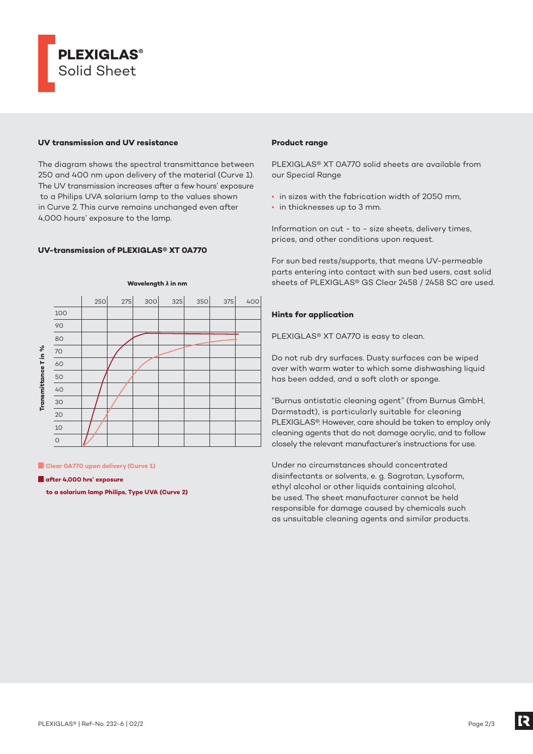

## **UV transmission and UV resistance**

The diagram shows the spectral transmittance between 250 and 400 nm upon delivery of the material (Curve 1). The UV transmission increases after a few hours' exposure to a Philips UVA solarium lamp to the values shown in Curve 2. This curve remains unchanged even after 4,000 hours' exposure to the lamp.

# **UV-transmission of PLEXIGLAS® XT 0A770**



**Clear 0A770 upon delivery (Curve 1)** 

**after 4,000 hrs' exposure** 

 **to a solarium lamp Philips, Type UVA (Curve 2)**

## **Product range**

PLEXIGLAS® XT 0A770 solid sheets are available from our Special Range

- in sizes with the fabrication width of 2050 mm,
- in thicknesses up to 3 mm.

Information on cut - to - size sheets, delivery times, prices, and other conditions upon request.

For sun bed rests/supports, that means UV-permeable parts entering into contact with sun bed users, cast solid sheets of PLEXIGLAS® GS Clear 2458 / 2458 SC are used.

## **Hints for application**

PLEXIGLAS® XT 0A770 is easy to clean.

Do not rub dry surfaces. Dusty surfaces can be wiped over with warm water to which some dishwashing liquid has been added, and a soft cloth or sponge.

"Burnus antistatic cleaning agent" (from Burnus GmbH, Darmstadt), is particularly suitable for cleaning PLEXIGLAS®. However, care should be taken to employ only cleaning agents that do not damage acrylic, and to follow closely the relevant manufacturer's instructions for use.

Under no circumstances should concentrated disinfectants or solvents, e. g. Sagrotan, Lysoform, ethyl alcohol or other liquids containing alcohol, be used. The sheet manufacturer cannot be held responsible for damage caused by chemicals such as unsuitable cleaning agents and similar products.

[2